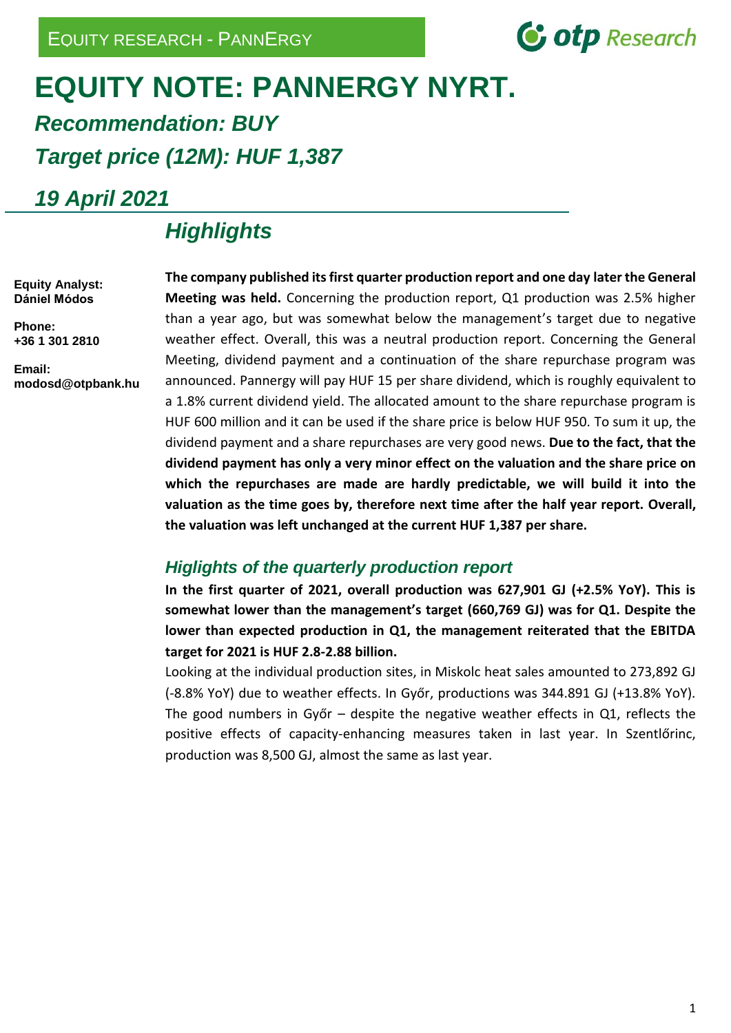

### **EQUITY NOTE: PANNERGY NYRT.**  *Recommendation: BUY Target price (12M): HUF 1,387*

*19 April 2021*

### *Highlights*

**Equity Analyst: Dániel Módos**

**Phone: +36 1 301 2810**

**Email: modosd@otpbank.hu**

**The company published its first quarter production report and one day later the General Meeting was held.** Concerning the production report, Q1 production was 2.5% higher than a year ago, but was somewhat below the management's target due to negative weather effect. Overall, this was a neutral production report. Concerning the General Meeting, dividend payment and a continuation of the share repurchase program was announced. Pannergy will pay HUF 15 per share dividend, which is roughly equivalent to a 1.8% current dividend yield. The allocated amount to the share repurchase program is HUF 600 million and it can be used if the share price is below HUF 950. To sum it up, the dividend payment and a share repurchases are very good news. **Due to the fact, that the dividend payment has only a very minor effect on the valuation and the share price on which the repurchases are made are hardly predictable, we will build it into the valuation as the time goes by, therefore next time after the half year report. Overall, the valuation was left unchanged at the current HUF 1,387 per share.**

#### *Higlights of the quarterly production report*

**In the first quarter of 2021, overall production was 627,901 GJ (+2.5% YoY). This is somewhat lower than the management's target (660,769 GJ) was for Q1. Despite the lower than expected production in Q1, the management reiterated that the EBITDA target for 2021 is HUF 2.8-2.88 billion.**

Looking at the individual production sites, in Miskolc heat sales amounted to 273,892 GJ (-8.8% YoY) due to weather effects. In Győr, productions was 344.891 GJ (+13.8% YoY). The good numbers in Győr – despite the negative weather effects in Q1, reflects the positive effects of capacity-enhancing measures taken in last year. In Szentlőrinc, production was 8,500 GJ, almost the same as last year.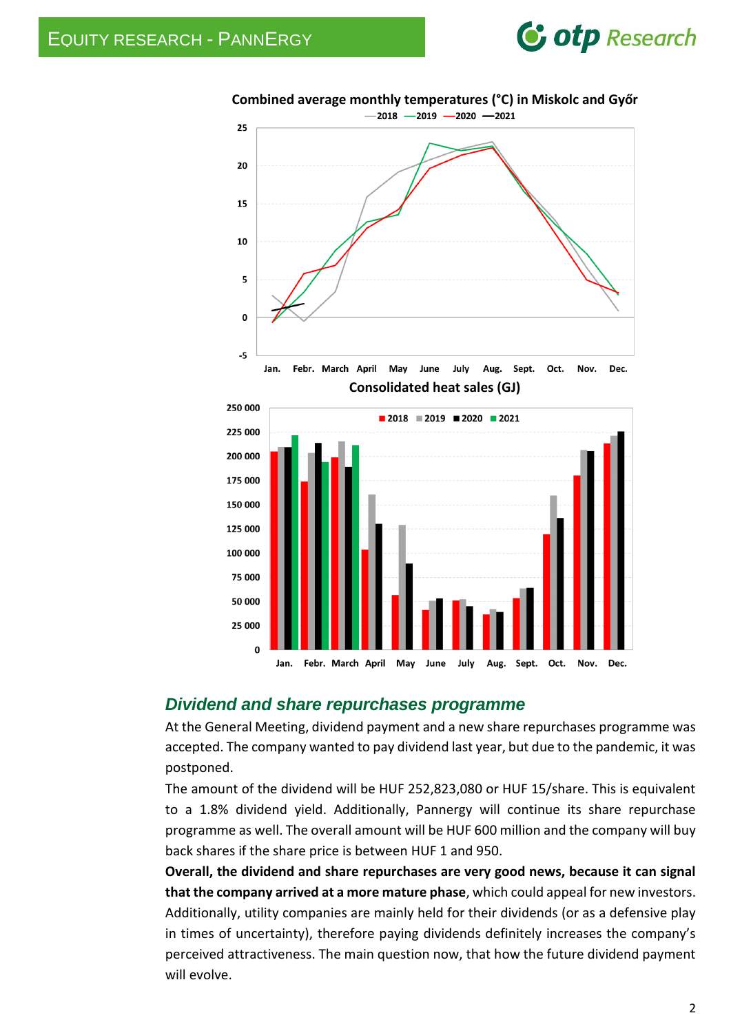### **C** otp Research



# **Combined average monthly temperatures (°C) in Miskolc and Győr**

#### *Dividend and share repurchases programme*

At the General Meeting, dividend payment and a new share repurchases programme was accepted. The company wanted to pay dividend last year, but due to the pandemic, it was postponed.

The amount of the dividend will be HUF 252,823,080 or HUF 15/share. This is equivalent to a 1.8% dividend yield. Additionally, Pannergy will continue its share repurchase programme as well. The overall amount will be HUF 600 million and the company will buy back shares if the share price is between HUF 1 and 950.

**Overall, the dividend and share repurchases are very good news, because it can signal that the company arrived at a more mature phase**, which could appeal for new investors. Additionally, utility companies are mainly held for their dividends (or as a defensive play in times of uncertainty), therefore paying dividends definitely increases the company's perceived attractiveness. The main question now, that how the future dividend payment will evolve.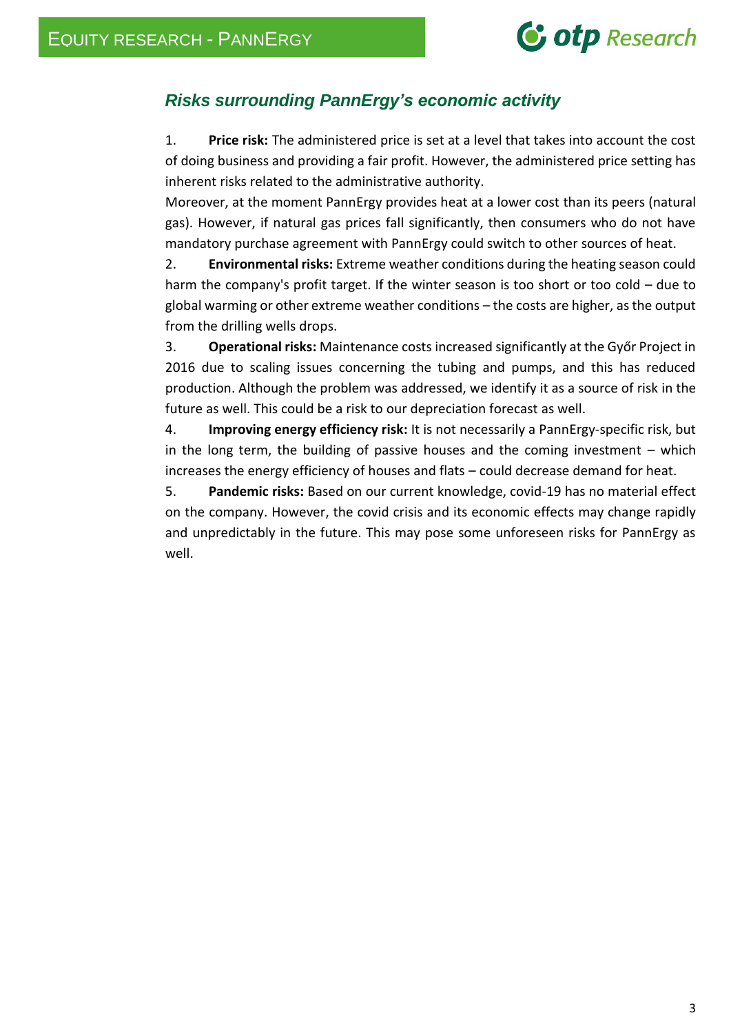### **C** otp Research

### *Risks surrounding PannErgy's economic activity*

1. **Price risk:** The administered price is set at a level that takes into account the cost of doing business and providing a fair profit. However, the administered price setting has inherent risks related to the administrative authority.

Moreover, at the moment PannErgy provides heat at a lower cost than its peers (natural gas). However, if natural gas prices fall significantly, then consumers who do not have mandatory purchase agreement with PannErgy could switch to other sources of heat.

2. **Environmental risks:** Extreme weather conditions during the heating season could harm the company's profit target. If the winter season is too short or too cold – due to global warming or other extreme weather conditions – the costs are higher, as the output from the drilling wells drops.

3. **Operational risks:** Maintenance costs increased significantly at the Győr Project in 2016 due to scaling issues concerning the tubing and pumps, and this has reduced production. Although the problem was addressed, we identify it as a source of risk in the future as well. This could be a risk to our depreciation forecast as well.

4. **Improving energy efficiency risk:** It is not necessarily a PannErgy-specific risk, but in the long term, the building of passive houses and the coming investment  $-$  which increases the energy efficiency of houses and flats – could decrease demand for heat.

5. **Pandemic risks:** Based on our current knowledge, covid-19 has no material effect on the company. However, the covid crisis and its economic effects may change rapidly and unpredictably in the future. This may pose some unforeseen risks for PannErgy as well.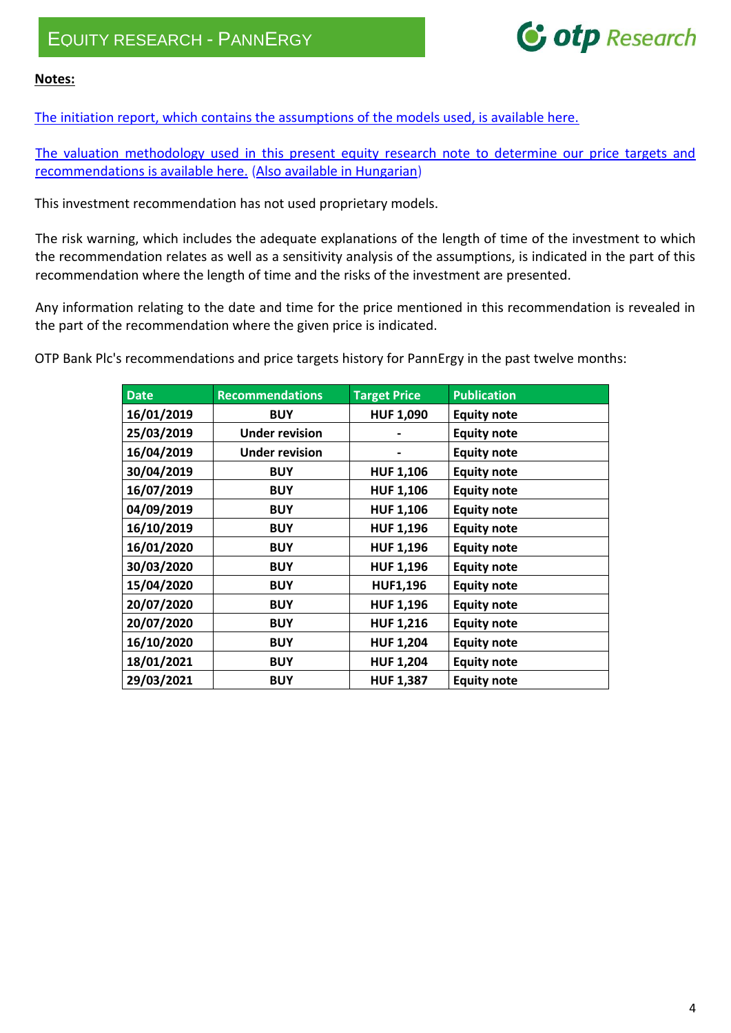## **C** otp Research

#### **Notes:**

[The initiation report, which contains the assumptions of the models used, is available here.](https://bet.hu/pfile/file?path=/site/Magyar/Dokumentumok/Tozsdetagoknak/Tozsdetagok-elemzesei/OTP-Researh-Pannergy-initiation-report-20171218.pdf1)

[The valuation methodology used in this present equity research note to determine our price targets and](https://www.otpbank.hu/static/elemzesikozpont/other/elemzesek/12826_equityvaluationmethodology.pdf)  [recommendations is available here.](https://www.otpbank.hu/static/elemzesikozpont/other/elemzesek/12826_equityvaluationmethodology.pdf) [\(Also available in Hungarian\)](https://www.otpbank.hu/static/elemzesikozpont/other/elemzesek/12827_Modszertan.pdf)

This investment recommendation has not used proprietary models.

The risk warning, which includes the adequate explanations of the length of time of the investment to which the recommendation relates as well as a sensitivity analysis of the assumptions, is indicated in the part of this recommendation where the length of time and the risks of the investment are presented.

Any information relating to the date and time for the price mentioned in this recommendation is revealed in the part of the recommendation where the given price is indicated.

OTP Bank Plc's recommendations and price targets history for PannErgy in the past twelve months:

| <b>Date</b> | <b>Recommendations</b> | <b>Target Price</b> | <b>Publication</b> |
|-------------|------------------------|---------------------|--------------------|
| 16/01/2019  | <b>BUY</b>             | <b>HUF 1,090</b>    | <b>Equity note</b> |
| 25/03/2019  | <b>Under revision</b>  |                     | <b>Equity note</b> |
| 16/04/2019  | <b>Under revision</b>  |                     | <b>Equity note</b> |
| 30/04/2019  | <b>BUY</b>             | <b>HUF 1,106</b>    | <b>Equity note</b> |
| 16/07/2019  | <b>BUY</b>             | <b>HUF 1,106</b>    | <b>Equity note</b> |
| 04/09/2019  | <b>BUY</b>             | <b>HUF 1,106</b>    | <b>Equity note</b> |
| 16/10/2019  | <b>BUY</b>             | <b>HUF 1,196</b>    | <b>Equity note</b> |
| 16/01/2020  | <b>BUY</b>             | <b>HUF 1,196</b>    | <b>Equity note</b> |
| 30/03/2020  | <b>BUY</b>             | <b>HUF 1,196</b>    | <b>Equity note</b> |
| 15/04/2020  | <b>BUY</b>             | <b>HUF1,196</b>     | <b>Equity note</b> |
| 20/07/2020  | <b>BUY</b>             | <b>HUF 1,196</b>    | <b>Equity note</b> |
| 20/07/2020  | <b>BUY</b>             | <b>HUF 1,216</b>    | <b>Equity note</b> |
| 16/10/2020  | <b>BUY</b>             | <b>HUF 1,204</b>    | <b>Equity note</b> |
| 18/01/2021  | <b>BUY</b>             | <b>HUF 1,204</b>    | <b>Equity note</b> |
| 29/03/2021  | <b>BUY</b>             | <b>HUF 1,387</b>    | <b>Equity note</b> |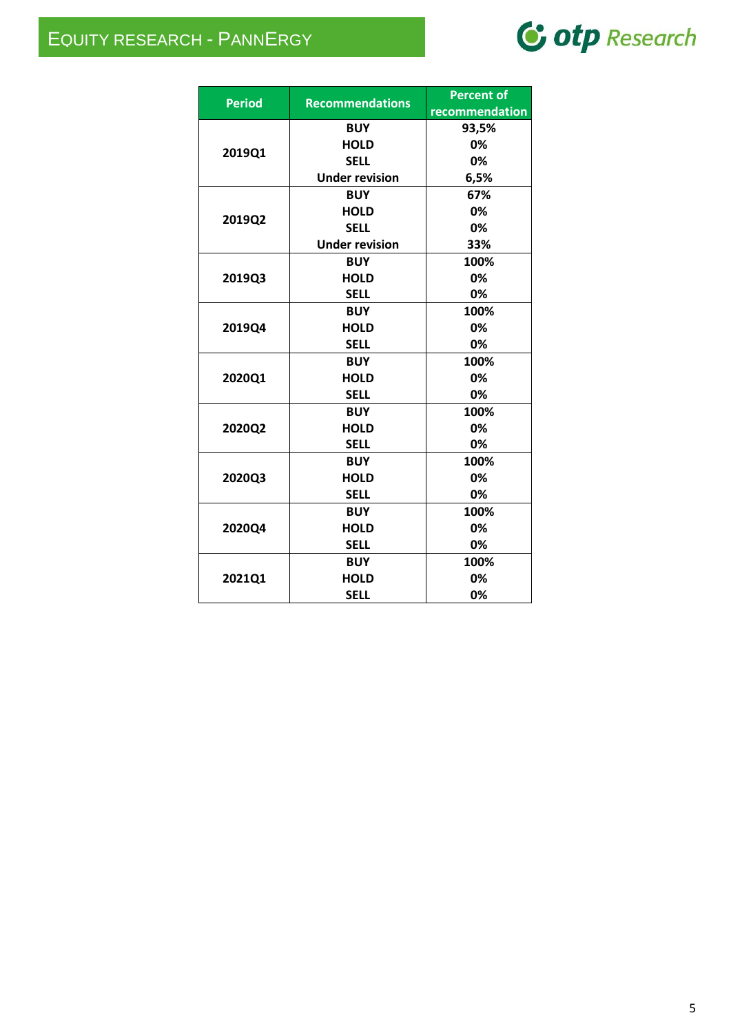### EQUITY RESEARCH - PANNERGY

# C otp Research

|               |                        | <b>Percent of</b> |
|---------------|------------------------|-------------------|
| <b>Period</b> | <b>Recommendations</b> | recommendation    |
|               | <b>BUY</b>             | 93,5%             |
| 2019Q1        | <b>HOLD</b>            | 0%                |
|               | <b>SELL</b>            | 0%                |
|               | <b>Under revision</b>  | 6,5%              |
|               | <b>BUY</b>             | 67%               |
| 2019Q2        | <b>HOLD</b>            | 0%                |
|               | <b>SELL</b>            | 0%                |
|               | <b>Under revision</b>  | 33%               |
|               | <b>BUY</b>             | 100%              |
| 2019Q3        | <b>HOLD</b>            | 0%                |
|               | <b>SELL</b>            | 0%                |
|               | <b>BUY</b>             | 100%              |
| 2019Q4        | <b>HOLD</b>            | 0%                |
|               | <b>SELL</b>            | 0%                |
|               | <b>BUY</b>             | 100%              |
| 2020Q1        | <b>HOLD</b>            | 0%                |
|               | <b>SELL</b>            | 0%                |
|               | <b>BUY</b>             | 100%              |
| 2020Q2        | <b>HOLD</b>            | 0%                |
|               | <b>SELL</b>            | 0%                |
|               | <b>BUY</b>             | 100%              |
| 2020Q3        | <b>HOLD</b>            | 0%                |
|               | <b>SELL</b>            | 0%                |
|               | <b>BUY</b>             | 100%              |
| 2020Q4        | <b>HOLD</b>            | 0%                |
|               | <b>SELL</b>            | 0%                |
|               | <b>BUY</b>             | 100%              |
| 2021Q1        | <b>HOLD</b>            | 0%                |
|               | <b>SELL</b>            | 0%                |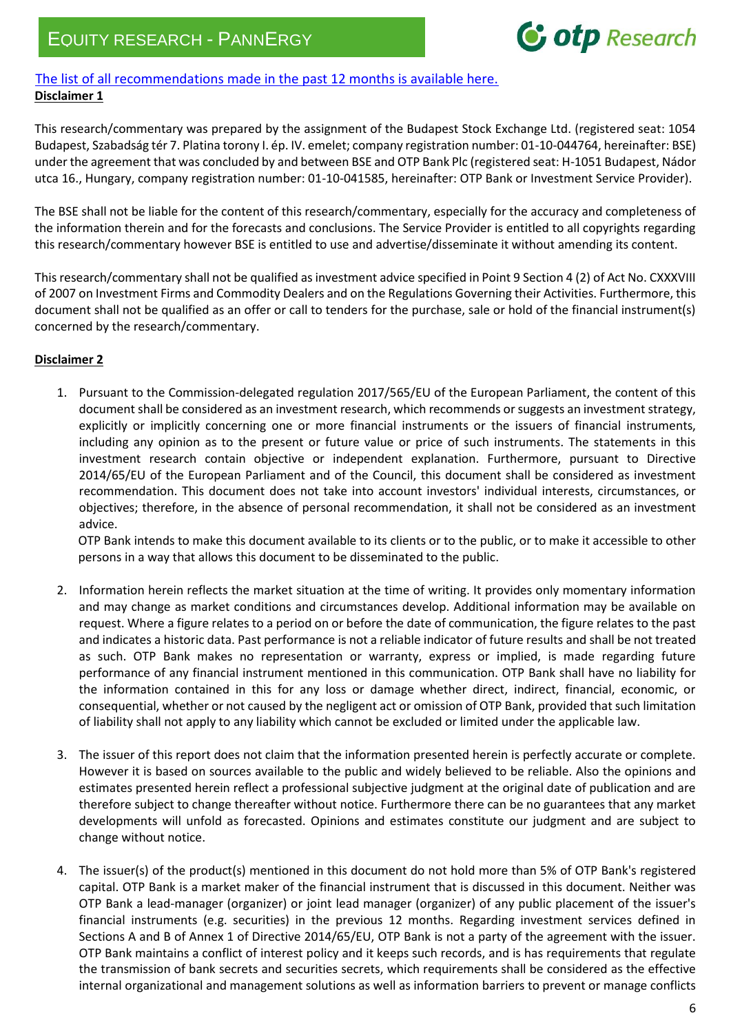## **G** otp Research

#### [The list of all recommendations made in the past 12 months is available here.](https://bse.hu/bse-analyses/analyses/pannergy-analysis) **Disclaimer 1**

This research/commentary was prepared by the assignment of the Budapest Stock Exchange Ltd. (registered seat: 1054 Budapest, Szabadság tér 7. Platina torony I. ép. IV. emelet; company registration number: 01-10-044764, hereinafter: BSE) under the agreement that was concluded by and between BSE and OTP Bank Plc (registered seat: H-1051 Budapest, Nádor utca 16., Hungary, company registration number: 01-10-041585, hereinafter: OTP Bank or Investment Service Provider).

The BSE shall not be liable for the content of this research/commentary, especially for the accuracy and completeness of the information therein and for the forecasts and conclusions. The Service Provider is entitled to all copyrights regarding this research/commentary however BSE is entitled to use and advertise/disseminate it without amending its content.

This research/commentary shall not be qualified as investment advice specified in Point 9 Section 4 (2) of Act No. CXXXVIII of 2007 on Investment Firms and Commodity Dealers and on the Regulations Governing their Activities. Furthermore, this document shall not be qualified as an offer or call to tenders for the purchase, sale or hold of the financial instrument(s) concerned by the research/commentary.

#### **Disclaimer 2**

1. Pursuant to the Commission-delegated regulation 2017/565/EU of the European Parliament, the content of this document shall be considered as an investment research, which recommends or suggests an investment strategy, explicitly or implicitly concerning one or more financial instruments or the issuers of financial instruments, including any opinion as to the present or future value or price of such instruments. The statements in this investment research contain objective or independent explanation. Furthermore, pursuant to Directive 2014/65/EU of the European Parliament and of the Council, this document shall be considered as investment recommendation. This document does not take into account investors' individual interests, circumstances, or objectives; therefore, in the absence of personal recommendation, it shall not be considered as an investment advice.

OTP Bank intends to make this document available to its clients or to the public, or to make it accessible to other persons in a way that allows this document to be disseminated to the public.

- 2. Information herein reflects the market situation at the time of writing. It provides only momentary information and may change as market conditions and circumstances develop. Additional information may be available on request. Where a figure relates to a period on or before the date of communication, the figure relates to the past and indicates a historic data. Past performance is not a reliable indicator of future results and shall be not treated as such. OTP Bank makes no representation or warranty, express or implied, is made regarding future performance of any financial instrument mentioned in this communication. OTP Bank shall have no liability for the information contained in this for any loss or damage whether direct, indirect, financial, economic, or consequential, whether or not caused by the negligent act or omission of OTP Bank, provided that such limitation of liability shall not apply to any liability which cannot be excluded or limited under the applicable law.
- 3. The issuer of this report does not claim that the information presented herein is perfectly accurate or complete. However it is based on sources available to the public and widely believed to be reliable. Also the opinions and estimates presented herein reflect a professional subjective judgment at the original date of publication and are therefore subject to change thereafter without notice. Furthermore there can be no guarantees that any market developments will unfold as forecasted. Opinions and estimates constitute our judgment and are subject to change without notice.
- 4. The issuer(s) of the product(s) mentioned in this document do not hold more than 5% of OTP Bank's registered capital. OTP Bank is a market maker of the financial instrument that is discussed in this document. Neither was OTP Bank a lead-manager (organizer) or joint lead manager (organizer) of any public placement of the issuer's financial instruments (e.g. securities) in the previous 12 months. Regarding investment services defined in Sections A and B of Annex 1 of Directive 2014/65/EU, OTP Bank is not a party of the agreement with the issuer. OTP Bank maintains a conflict of interest policy and it keeps such records, and is has requirements that regulate the transmission of bank secrets and securities secrets, which requirements shall be considered as the effective internal organizational and management solutions as well as information barriers to prevent or manage conflicts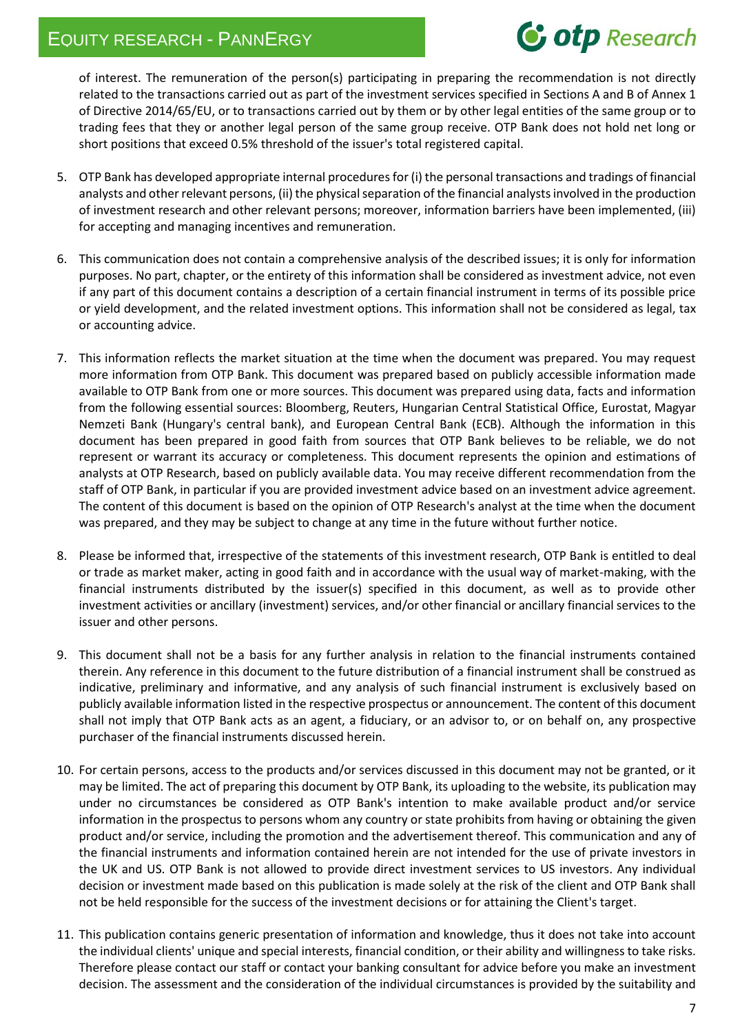# **G** otp Research

of interest. The remuneration of the person(s) participating in preparing the recommendation is not directly related to the transactions carried out as part of the investment services specified in Sections A and B of Annex 1 of Directive 2014/65/EU, or to transactions carried out by them or by other legal entities of the same group or to trading fees that they or another legal person of the same group receive. OTP Bank does not hold net long or short positions that exceed 0.5% threshold of the issuer's total registered capital.

- 5. OTP Bank has developed appropriate internal procedures for (i) the personal transactions and tradings of financial analysts and other relevant persons, (ii) the physical separation of the financial analysts involved in the production of investment research and other relevant persons; moreover, information barriers have been implemented, (iii) for accepting and managing incentives and remuneration.
- 6. This communication does not contain a comprehensive analysis of the described issues; it is only for information purposes. No part, chapter, or the entirety of this information shall be considered as investment advice, not even if any part of this document contains a description of a certain financial instrument in terms of its possible price or yield development, and the related investment options. This information shall not be considered as legal, tax or accounting advice.
- 7. This information reflects the market situation at the time when the document was prepared. You may request more information from OTP Bank. This document was prepared based on publicly accessible information made available to OTP Bank from one or more sources. This document was prepared using data, facts and information from the following essential sources: Bloomberg, Reuters, Hungarian Central Statistical Office, Eurostat, Magyar Nemzeti Bank (Hungary's central bank), and European Central Bank (ECB). Although the information in this document has been prepared in good faith from sources that OTP Bank believes to be reliable, we do not represent or warrant its accuracy or completeness. This document represents the opinion and estimations of analysts at OTP Research, based on publicly available data. You may receive different recommendation from the staff of OTP Bank, in particular if you are provided investment advice based on an investment advice agreement. The content of this document is based on the opinion of OTP Research's analyst at the time when the document was prepared, and they may be subject to change at any time in the future without further notice.
- 8. Please be informed that, irrespective of the statements of this investment research, OTP Bank is entitled to deal or trade as market maker, acting in good faith and in accordance with the usual way of market-making, with the financial instruments distributed by the issuer(s) specified in this document, as well as to provide other investment activities or ancillary (investment) services, and/or other financial or ancillary financial services to the issuer and other persons.
- 9. This document shall not be a basis for any further analysis in relation to the financial instruments contained therein. Any reference in this document to the future distribution of a financial instrument shall be construed as indicative, preliminary and informative, and any analysis of such financial instrument is exclusively based on publicly available information listed in the respective prospectus or announcement. The content of this document shall not imply that OTP Bank acts as an agent, a fiduciary, or an advisor to, or on behalf on, any prospective purchaser of the financial instruments discussed herein.
- 10. For certain persons, access to the products and/or services discussed in this document may not be granted, or it may be limited. The act of preparing this document by OTP Bank, its uploading to the website, its publication may under no circumstances be considered as OTP Bank's intention to make available product and/or service information in the prospectus to persons whom any country or state prohibits from having or obtaining the given product and/or service, including the promotion and the advertisement thereof. This communication and any of the financial instruments and information contained herein are not intended for the use of private investors in the UK and US. OTP Bank is not allowed to provide direct investment services to US investors. Any individual decision or investment made based on this publication is made solely at the risk of the client and OTP Bank shall not be held responsible for the success of the investment decisions or for attaining the Client's target.
- 11. This publication contains generic presentation of information and knowledge, thus it does not take into account the individual clients' unique and special interests, financial condition, or their ability and willingness to take risks. Therefore please contact our staff or contact your banking consultant for advice before you make an investment decision. The assessment and the consideration of the individual circumstances is provided by the suitability and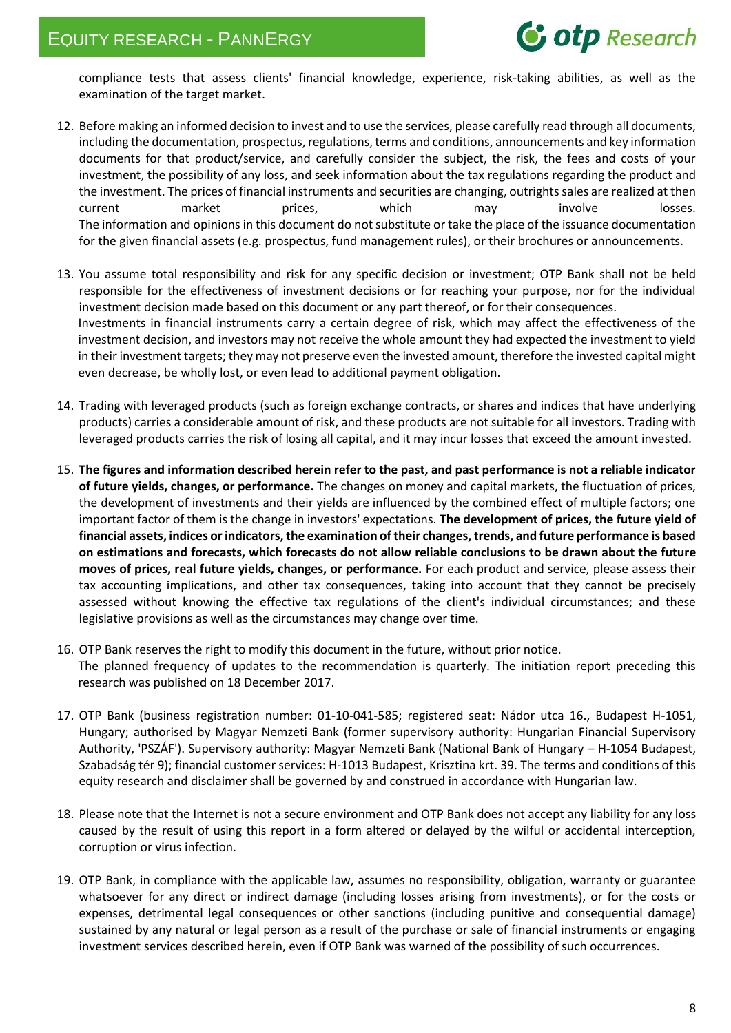compliance tests that assess clients' financial knowledge, experience, risk-taking abilities, as well as the examination of the target market.

- 12. Before making an informed decision to invest and to use the services, please carefully read through all documents, including the documentation, prospectus, regulations, terms and conditions, announcements and key information documents for that product/service, and carefully consider the subject, the risk, the fees and costs of your investment, the possibility of any loss, and seek information about the tax regulations regarding the product and the investment. The prices of financial instruments and securities are changing, outrights sales are realized at then current market prices, which may involve losses. The information and opinions in this document do not substitute or take the place of the issuance documentation for the given financial assets (e.g. prospectus, fund management rules), or their brochures or announcements.
- 13. You assume total responsibility and risk for any specific decision or investment; OTP Bank shall not be held responsible for the effectiveness of investment decisions or for reaching your purpose, nor for the individual investment decision made based on this document or any part thereof, or for their consequences. Investments in financial instruments carry a certain degree of risk, which may affect the effectiveness of the investment decision, and investors may not receive the whole amount they had expected the investment to yield in their investment targets; they may not preserve even the invested amount, therefore the invested capital might even decrease, be wholly lost, or even lead to additional payment obligation.
- 14. Trading with leveraged products (such as foreign exchange contracts, or shares and indices that have underlying products) carries a considerable amount of risk, and these products are not suitable for all investors. Trading with leveraged products carries the risk of losing all capital, and it may incur losses that exceed the amount invested.
- 15. **The figures and information described herein refer to the past, and past performance is not a reliable indicator of future yields, changes, or performance.** The changes on money and capital markets, the fluctuation of prices, the development of investments and their yields are influenced by the combined effect of multiple factors; one important factor of them is the change in investors' expectations. **The development of prices, the future yield of financial assets, indices or indicators, the examination of their changes, trends, and future performance is based on estimations and forecasts, which forecasts do not allow reliable conclusions to be drawn about the future moves of prices, real future yields, changes, or performance.** For each product and service, please assess their tax accounting implications, and other tax consequences, taking into account that they cannot be precisely assessed without knowing the effective tax regulations of the client's individual circumstances; and these legislative provisions as well as the circumstances may change over time.
- 16. OTP Bank reserves the right to modify this document in the future, without prior notice. The planned frequency of updates to the recommendation is quarterly. The initiation report preceding this research was published on 18 December 2017.
- 17. OTP Bank (business registration number: 01-10-041-585; registered seat: Nádor utca 16., Budapest H-1051, Hungary; authorised by Magyar Nemzeti Bank (former supervisory authority: Hungarian Financial Supervisory Authority, 'PSZÁF'). Supervisory authority: Magyar Nemzeti Bank (National Bank of Hungary – H-1054 Budapest, Szabadság tér 9); financial customer services: H-1013 Budapest, Krisztina krt. 39. The terms and conditions of this equity research and disclaimer shall be governed by and construed in accordance with Hungarian law.
- 18. Please note that the Internet is not a secure environment and OTP Bank does not accept any liability for any loss caused by the result of using this report in a form altered or delayed by the wilful or accidental interception, corruption or virus infection.
- 19. OTP Bank, in compliance with the applicable law, assumes no responsibility, obligation, warranty or guarantee whatsoever for any direct or indirect damage (including losses arising from investments), or for the costs or expenses, detrimental legal consequences or other sanctions (including punitive and consequential damage) sustained by any natural or legal person as a result of the purchase or sale of financial instruments or engaging investment services described herein, even if OTP Bank was warned of the possibility of such occurrences.